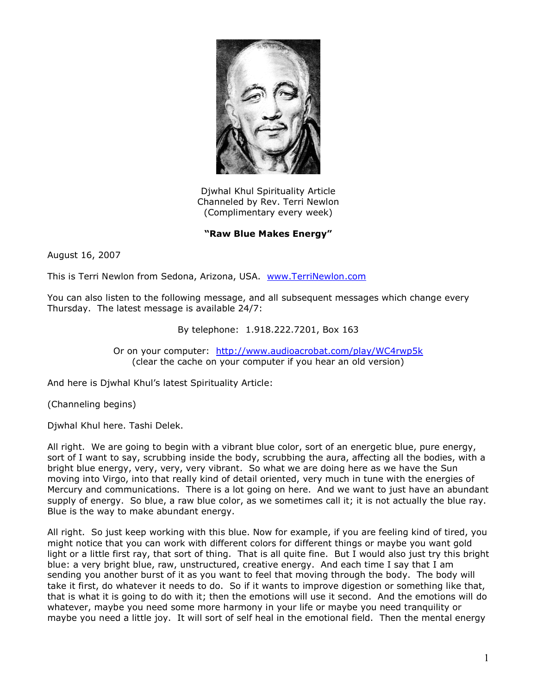

Djwhal Khul Spirituality Article Channeled by Rev. Terri Newlon (Complimentary every week)

**"Raw Blue Makes Energy"**

August 16, 2007

This is Terri Newlon from Sedona, Arizona, USA. [www.TerriNewlon.com](http://www.terrinewlon.com/)

You can also listen to the following message, and all subsequent messages which change every Thursday. The latest message is available 24/7:

By telephone: 1.918.222.7201, Box 163

Or on your computer: <http://www.audioacrobat.com/play/WC4rwp5k> (clear the cache on your computer if you hear an old version)

And here is Djwhal Khul's latest Spirituality Article:

(Channeling begins)

Djwhal Khul here. Tashi Delek.

All right. We are going to begin with a vibrant blue color, sort of an energetic blue, pure energy, sort of I want to say, scrubbing inside the body, scrubbing the aura, affecting all the bodies, with a bright blue energy, very, very, very vibrant. So what we are doing here as we have the Sun moving into Virgo, into that really kind of detail oriented, very much in tune with the energies of Mercury and communications. There is a lot going on here. And we want to just have an abundant supply of energy. So blue, a raw blue color, as we sometimes call it; it is not actually the blue ray. Blue is the way to make abundant energy.

All right. So just keep working with this blue. Now for example, if you are feeling kind of tired, you might notice that you can work with different colors for different things or maybe you want gold light or a little first ray, that sort of thing. That is all quite fine. But I would also just try this bright blue: a very bright blue, raw, unstructured, creative energy. And each time I say that I am sending you another burst of it as you want to feel that moving through the body. The body will take it first, do whatever it needs to do. So if it wants to improve digestion or something like that, that is what it is going to do with it; then the emotions will use it second. And the emotions will do whatever, maybe you need some more harmony in your life or maybe you need tranquility or maybe you need a little joy. It will sort of self heal in the emotional field. Then the mental energy